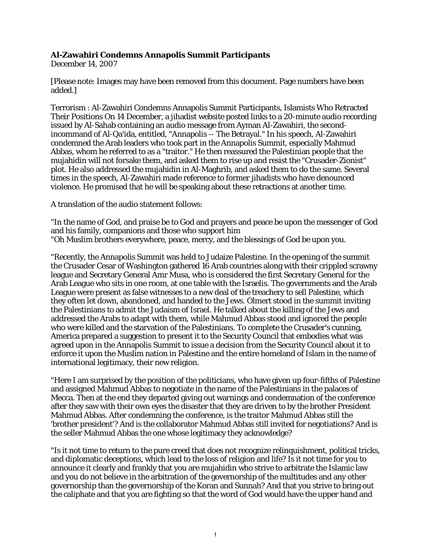## **Al-Zawahiri Condemns Annapolis Summit Participants**

December 14, 2007

[Please note: Images may have been removed from this document. Page numbers have been added.]

Terrorism : Al-Zawahiri Condemns Annapolis Summit Participants, Islamists Who Retracted Their Positions On 14 December, a jihadist website posted links to a 20-minute audio recording issued by Al-Sahab containing an audio message from Ayman Al-Zawahiri, the secondincommand of Al-Qa'ida, entitled, "Annapolis -- The Betrayal." In his speech, Al-Zawahiri condemned the Arab leaders who took part in the Annapolis Summit, especially Mahmud Abbas, whom he referred to as a "traitor." He then reassured the Palestinian people that the mujahidin will not forsake them, and asked them to rise up and resist the "Crusader-Zionist" plot. He also addressed the mujahidin in Al-Maghrib, and asked them to do the same. Several times in the speech, Al-Zawahiri made reference to former jihadists who have denounced violence. He promised that he will be speaking about these retractions at another time.

A translation of the audio statement follows:

"In the name of God, and praise be to God and prayers and peace be upon the messenger of God and his family, companions and those who support him "Oh Muslim brothers everywhere, peace, mercy, and the blessings of God be upon you.

"Recently, the Annapolis Summit was held to Judaize Palestine. In the opening of the summit the Crusader Cesar of Washington gathered 16 Arab countries along with their crippled scrawny league and Secretary General Amr Musa, who is considered the first Secretary General for the Arab League who sits in one room, at one table with the Israelis. The governments and the Arab League were present as false witnesses to a new deal of the treachery to sell Palestine, which they often let down, abandoned, and handed to the Jews. Olmert stood in the summit inviting the Palestinians to admit the Judaism of Israel. He talked about the killing of the Jews and addressed the Arabs to adapt with them, while Mahmud Abbas stood and ignored the people who were killed and the starvation of the Palestinians. To complete the Crusader's cunning, America prepared a suggestion to present it to the Security Council that embodies what was agreed upon in the Annapolis Summit to issue a decision from the Security Council about it to enforce it upon the Muslim nation in Palestine and the entire homeland of Islam in the name of international legitimacy, their new religion.

"Here I am surprised by the position of the politicians, who have given up four-fifths of Palestine and assigned Mahmud Abbas to negotiate in the name of the Palestinians in the palaces of Mecca. Then at the end they departed giving out warnings and condemnation of the conference after they saw with their own eyes the disaster that they are driven to by the brother President Mahmud Abbas. After condemning the conference, is the traitor Mahmud Abbas still the 'brother president'? And is the collaborator Mahmud Abbas still invited for negotiations? And is the seller Mahmud Abbas the one whose legitimacy they acknowledge?

"Is it not time to return to the pure creed that does not recognize relinquishment, political tricks, and diplomatic deceptions, which lead to the loss of religion and life? Is it not time for you to announce it clearly and frankly that you are mujahidin who strive to arbitrate the Islamic law and you do not believe in the arbitration of the governorship of the multitudes and any other governorship than the governorship of the Koran and Sunnah? And that you strive to bring out the caliphate and that you are fighting so that the word of God would have the upper hand and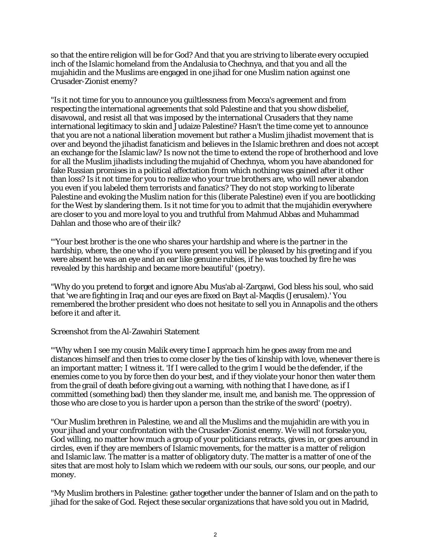so that the entire religion will be for God? And that you are striving to liberate every occupied inch of the Islamic homeland from the Andalusia to Chechnya, and that you and all the mujahidin and the Muslims are engaged in one jihad for one Muslim nation against one Crusader-Zionist enemy?

"Is it not time for you to announce you guiltlessness from Mecca's agreement and from respecting the international agreements that sold Palestine and that you show disbelief, disavowal, and resist all that was imposed by the international Crusaders that they name international legitimacy to skin and Judaize Palestine? Hasn't the time come yet to announce that you are not a national liberation movement but rather a Muslim jihadist movement that is over and beyond the jihadist fanaticism and believes in the Islamic brethren and does not accept an exchange for the Islamic law? Is now not the time to extend the rope of brotherhood and love for all the Muslim jihadists including the mujahid of Chechnya, whom you have abandoned for fake Russian promises in a political affectation from which nothing was gained after it other than loss? Is it not time for you to realize who your true brothers are, who will never abandon you even if you labeled them terrorists and fanatics? They do not stop working to liberate Palestine and evoking the Muslim nation for this (liberate Palestine) even if you are bootlicking for the West by slandering them. Is it not time for you to admit that the mujahidin everywhere are closer to you and more loyal to you and truthful from Mahmud Abbas and Muhammad Dahlan and those who are of their ilk?

"'Your best brother is the one who shares your hardship and where is the partner in the hardship, where, the one who if you were present you will be pleased by his greeting and if you were absent he was an eye and an ear like genuine rubies, if he was touched by fire he was revealed by this hardship and became more beautiful' (poetry).

"Why do you pretend to forget and ignore Abu Mus'ab al-Zarqawi, God bless his soul, who said that 'we are fighting in Iraq and our eyes are fixed on Bayt al-Maqdis (Jerusalem).' You remembered the brother president who does not hesitate to sell you in Annapolis and the others before it and after it.

## Screenshot from the Al-Zawahiri Statement

"'Why when I see my cousin Malik every time I approach him he goes away from me and distances himself and then tries to come closer by the ties of kinship with love, whenever there is an important matter; I witness it. 'If I were called to the grim I would be the defender, if the enemies come to you by force then do your best, and if they violate your honor then water them from the grail of death before giving out a warning, with nothing that I have done, as if I committed (something bad) then they slander me, insult me, and banish me. The oppression of those who are close to you is harder upon a person than the strike of the sword' (poetry).

"Our Muslim brethren in Palestine, we and all the Muslims and the mujahidin are with you in your jihad and your confrontation with the Crusader-Zionist enemy. We will not forsake you, God willing, no matter how much a group of your politicians retracts, gives in, or goes around in circles, even if they are members of Islamic movements, for the matter is a matter of religion and Islamic law. The matter is a matter of obligatory duty. The matter is a matter of one of the sites that are most holy to Islam which we redeem with our souls, our sons, our people, and our money.

"My Muslim brothers in Palestine: gather together under the banner of Islam and on the path to jihad for the sake of God. Reject these secular organizations that have sold you out in Madrid,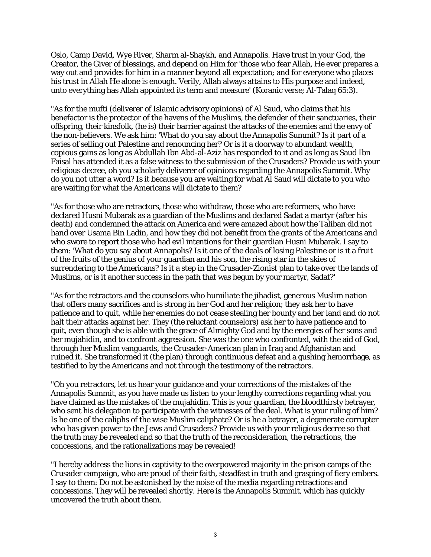Oslo, Camp David, Wye River, Sharm al-Shaykh, and Annapolis. Have trust in your God, the Creator, the Giver of blessings, and depend on Him for 'those who fear Allah, He ever prepares a way out and provides for him in a manner beyond all expectation; and for everyone who places his trust in Allah He alone is enough. Verily, Allah always attains to His purpose and indeed, unto everything has Allah appointed its term and measure' (Koranic verse; Al-Talaq 65:3).

"As for the mufti (deliverer of Islamic advisory opinions) of Al Saud, who claims that his benefactor is the protector of the havens of the Muslims, the defender of their sanctuaries, their offspring, their kinsfolk, (he is) their barrier against the attacks of the enemies and the envy of the non-believers. We ask him: 'What do you say about the Annapolis Summit? Is it part of a series of selling out Palestine and renouncing her? Or is it a doorway to abundant wealth, copious gains as long as Abdullah Ibn Abd-al-Aziz has responded to it and as long as Saud Ibn Faisal has attended it as a false witness to the submission of the Crusaders? Provide us with your religious decree, oh you scholarly deliverer of opinions regarding the Annapolis Summit. Why do you not utter a word? Is it because you are waiting for what Al Saud will dictate to you who are waiting for what the Americans will dictate to them?

"As for those who are retractors, those who withdraw, those who are reformers, who have declared Husni Mubarak as a guardian of the Muslims and declared Sadat a martyr (after his death) and condemned the attack on America and were amazed about how the Taliban did not hand over Usama Bin Ladin, and how they did not benefit from the grants of the Americans and who swore to report those who had evil intentions for their guardian Husni Mubarak. I say to them: 'What do you say about Annapolis? Is it one of the deals of losing Palestine or is it a fruit of the fruits of the genius of your guardian and his son, the rising star in the skies of surrendering to the Americans? Is it a step in the Crusader-Zionist plan to take over the lands of Muslims, or is it another success in the path that was begun by your martyr, Sadat?'

"As for the retractors and the counselors who humiliate the jihadist, generous Muslim nation that offers many sacrifices and is strong in her God and her religion; they ask her to have patience and to quit, while her enemies do not cease stealing her bounty and her land and do not halt their attacks against her. They (the reluctant counselors) ask her to have patience and to quit, even though she is able with the grace of Almighty God and by the energies of her sons and her mujahidin, and to confront aggression. She was the one who confronted, with the aid of God, through her Muslim vanguards, the Crusader-American plan in Iraq and Afghanistan and ruined it. She transformed it (the plan) through continuous defeat and a gushing hemorrhage, as testified to by the Americans and not through the testimony of the retractors.

"Oh you retractors, let us hear your guidance and your corrections of the mistakes of the Annapolis Summit, as you have made us listen to your lengthy corrections regarding what you have claimed as the mistakes of the mujahidin. This is your guardian, the bloodthirsty betrayer, who sent his delegation to participate with the witnesses of the deal. What is your ruling of him? Is he one of the caliphs of the wise Muslim caliphate? Or is he a betrayer, a degenerate corrupter who has given power to the Jews and Crusaders? Provide us with your religious decree so that the truth may be revealed and so that the truth of the reconsideration, the retractions, the concessions, and the rationalizations may be revealed!

"I hereby address the lions in captivity to the overpowered majority in the prison camps of the Crusader campaign, who are proud of their faith, steadfast in truth and grasping of fiery embers. I say to them: Do not be astonished by the noise of the media regarding retractions and concessions. They will be revealed shortly. Here is the Annapolis Summit, which has quickly uncovered the truth about them.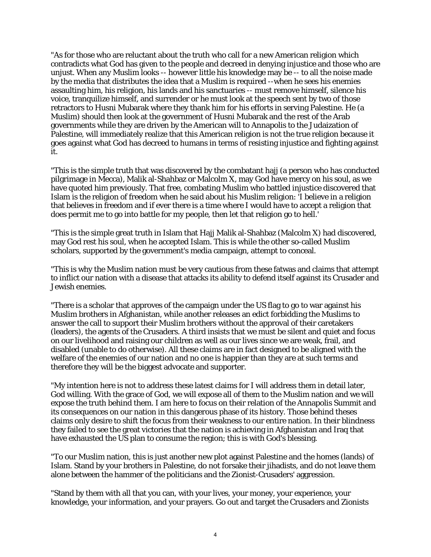"As for those who are reluctant about the truth who call for a new American religion which contradicts what God has given to the people and decreed in denying injustice and those who are unjust. When any Muslim looks -- however little his knowledge may be -- to all the noise made by the media that distributes the idea that a Muslim is required --when he sees his enemies assaulting him, his religion, his lands and his sanctuaries -- must remove himself, silence his voice, tranquilize himself, and surrender or he must look at the speech sent by two of those retractors to Husni Mubarak where they thank him for his efforts in serving Palestine. He (a Muslim) should then look at the government of Husni Mubarak and the rest of the Arab governments while they are driven by the American will to Annapolis to the Judaization of Palestine, will immediately realize that this American religion is not the true religion because it goes against what God has decreed to humans in terms of resisting injustice and fighting against it.

"This is the simple truth that was discovered by the combatant hajj (a person who has conducted pilgrimage in Mecca), Malik al-Shahbaz or Malcolm X, may God have mercy on his soul, as we have quoted him previously. That free, combating Muslim who battled injustice discovered that Islam is the religion of freedom when he said about his Muslim religion: 'I believe in a religion that believes in freedom and if ever there is a time where I would have to accept a religion that does permit me to go into battle for my people, then let that religion go to hell.'

"This is the simple great truth in Islam that Hajj Malik al-Shahbaz (Malcolm X) had discovered, may God rest his soul, when he accepted Islam. This is while the other so-called Muslim scholars, supported by the government's media campaign, attempt to conceal.

"This is why the Muslim nation must be very cautious from these fatwas and claims that attempt to inflict our nation with a disease that attacks its ability to defend itself against its Crusader and Jewish enemies.

"There is a scholar that approves of the campaign under the US flag to go to war against his Muslim brothers in Afghanistan, while another releases an edict forbidding the Muslims to answer the call to support their Muslim brothers without the approval of their caretakers (leaders), the agents of the Crusaders. A third insists that we must be silent and quiet and focus on our livelihood and raising our children as well as our lives since we are weak, frail, and disabled (unable to do otherwise). All these claims are in fact designed to be aligned with the welfare of the enemies of our nation and no one is happier than they are at such terms and therefore they will be the biggest advocate and supporter.

"My intention here is not to address these latest claims for I will address them in detail later, God willing. With the grace of God, we will expose all of them to the Muslim nation and we will expose the truth behind them. I am here to focus on their relation of the Annapolis Summit and its consequences on our nation in this dangerous phase of its history. Those behind theses claims only desire to shift the focus from their weakness to our entire nation. In their blindness they failed to see the great victories that the nation is achieving in Afghanistan and Iraq that have exhausted the US plan to consume the region; this is with God's blessing.

"To our Muslim nation, this is just another new plot against Palestine and the homes (lands) of Islam. Stand by your brothers in Palestine, do not forsake their jihadists, and do not leave them alone between the hammer of the politicians and the Zionist-Crusaders' aggression.

"Stand by them with all that you can, with your lives, your money, your experience, your knowledge, your information, and your prayers. Go out and target the Crusaders and Zionists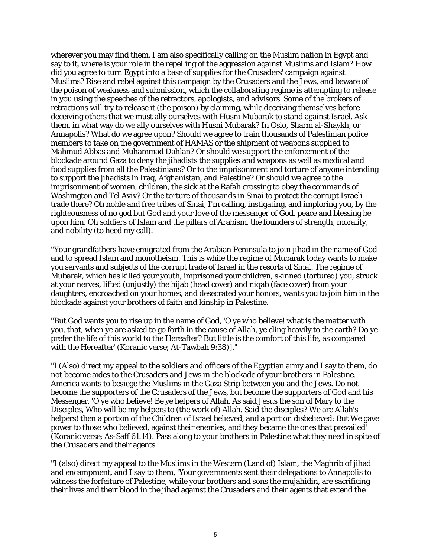wherever you may find them. I am also specifically calling on the Muslim nation in Egypt and say to it, where is your role in the repelling of the aggression against Muslims and Islam? How did you agree to turn Egypt into a base of supplies for the Crusaders' campaign against Muslims? Rise and rebel against this campaign by the Crusaders and the Jews, and beware of the poison of weakness and submission, which the collaborating regime is attempting to release in you using the speeches of the retractors, apologists, and advisors. Some of the brokers of retractions will try to release it (the poison) by claiming, while deceiving themselves before deceiving others that we must ally ourselves with Husni Mubarak to stand against Israel. Ask them, in what way do we ally ourselves with Husni Mubarak? In Oslo, Sharm al-Shaykh, or Annapolis? What do we agree upon? Should we agree to train thousands of Palestinian police members to take on the government of HAMAS or the shipment of weapons supplied to Mahmud Abbas and Muhammad Dahlan? Or should we support the enforcement of the blockade around Gaza to deny the jihadists the supplies and weapons as well as medical and food supplies from all the Palestinians? Or to the imprisonment and torture of anyone intending to support the jihadists in Iraq, Afghanistan, and Palestine? Or should we agree to the imprisonment of women, children, the sick at the Rafah crossing to obey the commands of Washington and Tel Aviv? Or the torture of thousands in Sinai to protect the corrupt Israeli trade there? Oh noble and free tribes of Sinai, I'm calling, instigating, and imploring you, by the righteousness of no god but God and your love of the messenger of God, peace and blessing be upon him. Oh soldiers of Islam and the pillars of Arabism, the founders of strength, morality, and nobility (to heed my call).

"Your grandfathers have emigrated from the Arabian Peninsula to join jihad in the name of God and to spread Islam and monotheism. This is while the regime of Mubarak today wants to make you servants and subjects of the corrupt trade of Israel in the resorts of Sinai. The regime of Mubarak, which has killed your youth, imprisoned your children, skinned (tortured) you, struck at your nerves, lifted (unjustly) the hijab (head cover) and niqab (face cover) from your daughters, encroached on your homes, and desecrated your honors, wants you to join him in the blockade against your brothers of faith and kinship in Palestine.

"But God wants you to rise up in the name of God, 'O ye who believe! what is the matter with you, that, when ye are asked to go forth in the cause of Allah, ye cling heavily to the earth? Do ye prefer the life of this world to the Hereafter? But little is the comfort of this life, as compared with the Hereafter' (Koranic verse; At-Tawbah 9:38)]."

"I (Also) direct my appeal to the soldiers and officers of the Egyptian army and I say to them, do not become aides to the Crusaders and Jews in the blockade of your brothers in Palestine. America wants to besiege the Muslims in the Gaza Strip between you and the Jews. Do not become the supporters of the Crusaders of the Jews, but become the supporters of God and his Messenger. 'O ye who believe! Be ye helpers of Allah. As said Jesus the son of Mary to the Disciples, Who will be my helpers to (the work of) Allah. Said the disciples? We are Allah's helpers! then a portion of the Children of Israel believed, and a portion disbelieved: But We gave power to those who believed, against their enemies, and they became the ones that prevailed' (Koranic verse; As-Saff 61:14). Pass along to your brothers in Palestine what they need in spite of the Crusaders and their agents.

"I (also) direct my appeal to the Muslims in the Western (Land of) Islam, the Maghrib of jihad and encampment, and I say to them, 'Your governments sent their delegations to Annapolis to witness the forfeiture of Palestine, while your brothers and sons the mujahidin, are sacrificing their lives and their blood in the jihad against the Crusaders and their agents that extend the